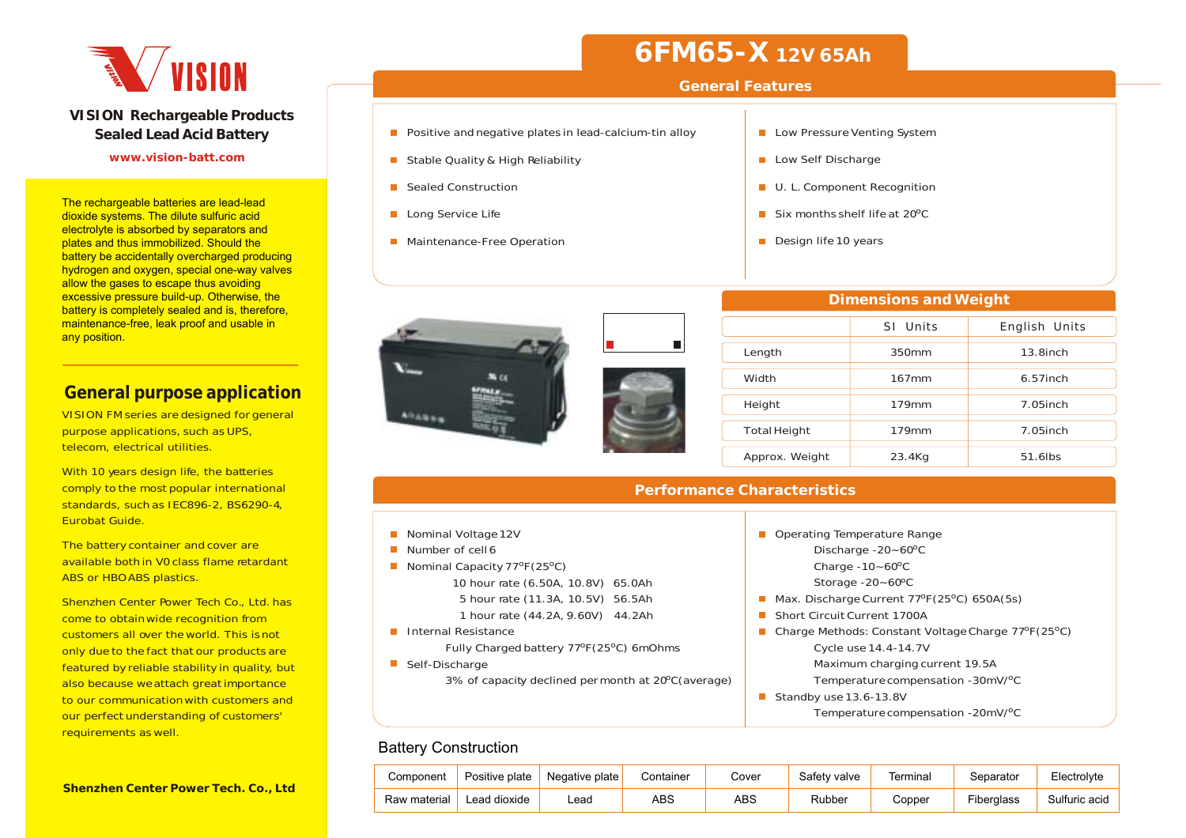

#### **VISION Rechargeable Products Sealed Lead Acid Battery**

#### **www.vision-batt.com**

The rechargeable batteries are lead-lead dioxide systems. The dilute sulfuric acid electrolyte is absorbed by separators and plates and thus immobilized. Should the battery be accidentally overcharged producing hydrogen and oxygen, special one-way valves allow the gases to escape thus avoiding excessive pressure build-up. Otherwise, the battery is completely sealed and is, therefore, maintenance-free, leak proof and usable in any position.

### **General purpose application**

VISION FM series are designed for general purpose applications, such as UPS, telecom, electrical utilities.

With 10 years design life, the batteries comply to the most popular international standards, such as IEC896-2, BS6290-4, Eurobat Guide.

The battery container and cover are available both in V0 class flame retardantABS or HBO ABS plastics.

Shenzhen Center Power Tech Co., Ltd. has come to obtain wide recognition from customers all over the world. This is not only due to the fact that our products are featured by reliable stability in quality, but also because weattach great importance to our communicationwith customers andour perfect understanding of customers' requirements as well.

## **6FM65-X 12V 65Ah**

### **General Features**

- **Positive and negative plates in lead-calcium-tin alloy**
- Stable Quality & High Reliability
- Sealed Construction
- **Long Service Life**
- **Maintenance-Free Operation**



- Low Self Discharge
- **U. L. Component Recognition**
- Six months shelf life at 20ºC
- Design life 10 years



| <b>Dimensions and Weight</b> |          |               |  |  |  |  |  |  |  |  |  |  |
|------------------------------|----------|---------------|--|--|--|--|--|--|--|--|--|--|
|                              | SI Units | English Units |  |  |  |  |  |  |  |  |  |  |
| Length                       | 350mm    | $13.8$ inch   |  |  |  |  |  |  |  |  |  |  |
| Width                        | $167$ mm | $6.57$ inch   |  |  |  |  |  |  |  |  |  |  |
| Height                       | 179mm    | $7.05$ inch   |  |  |  |  |  |  |  |  |  |  |
| <b>Total Height</b>          | 179mm    | $7.05$ inch   |  |  |  |  |  |  |  |  |  |  |
| Approx. Weight               | 23.4Kg   | 51.6lbs       |  |  |  |  |  |  |  |  |  |  |

#### **Performance Characteristics**

- Nominal Voltage 12V
- Number of cell 6
- Nominal Capacity 77ºF(25ºC)
	- 10 hour rate (6.50A, 10.8V) 65.0Ah 5 hour rate (11.3A, 10.5V) 56.5Ah 1 hour rate (44.2A, 9.60V) 44.2Ah
- **Internal Resistance** 
	- Fully Charged battery 77ºF(25ºC) 6mOhms
- Self-Discharge
	- 3% of capacity declined permonth at 20ºC(average)

#### ■ Operating Temperature Range Discharge  $-20 - 60$ <sup>o</sup>C 0 Charge -10~60°C Storage -20~60ºC Max. Discharge Current  $77^{\circ}F(25^{\circ}C)$  650A(5s) ■ Short Circuit Current 1700A Charge Methods: Constant Voltage Charge 77ºF(25ºC) Cycle use 14.4-14.7V Maximum charging current 19.5A Temperature compensation -30mV/ºC

- Standby use 13.6-13.8V
	- Temperature compensation -20mV/ºC

### Battery Construction

| Component    | Positive plate | Negative plate | Container | Cover | Safety valve | Terminal | Separator  | Electrolvte   |
|--------------|----------------|----------------|-----------|-------|--------------|----------|------------|---------------|
| Raw material | Lead dioxide   | _ead           | ABS       | ABS   | Rubber       | Copper:  | Fiberalass | Sulfuric acid |

**Shenzhen Center Power Tech. Co., Ltd**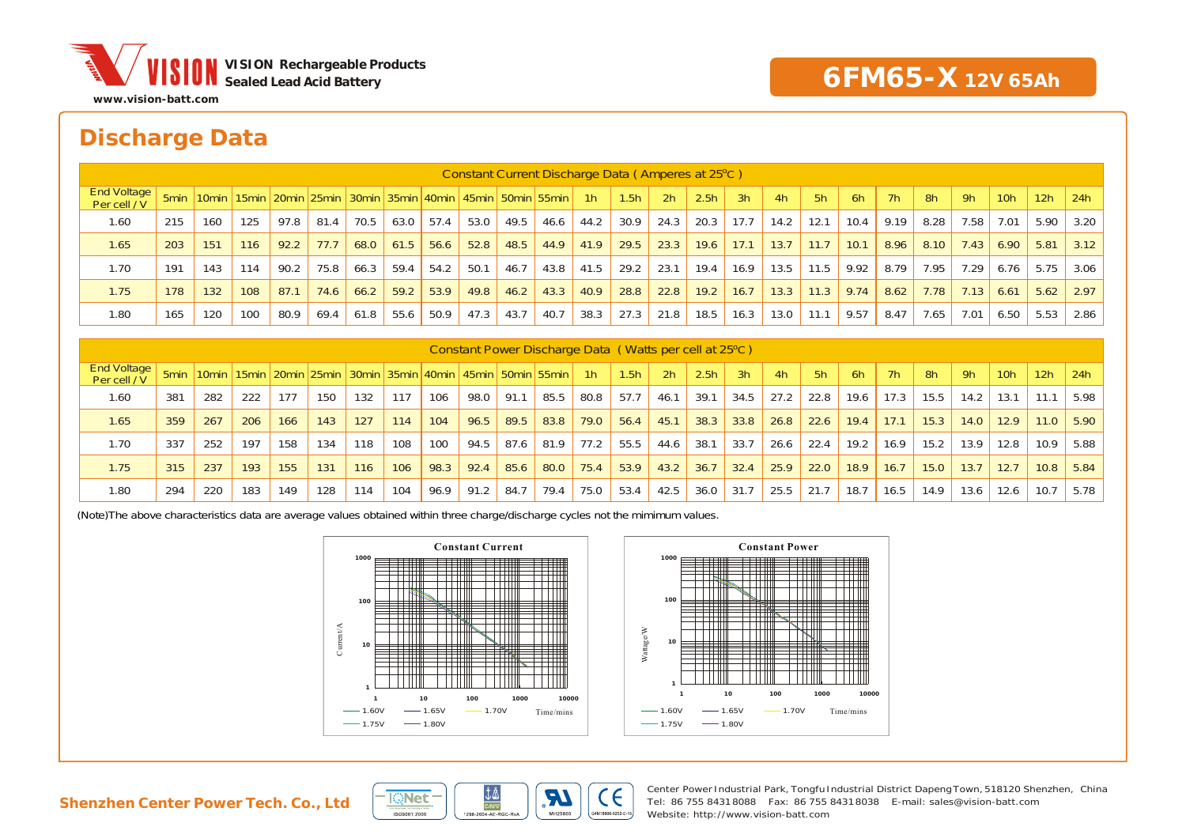

## **Discharge Data**

|                                    | Constant Current Discharge Data (Amperes at 25°C) |     |     |      |      |      |      |      |                                                                                                   |      |      |                |      |      |                  |      |      |      |      |      |      |      |                 |      |      |
|------------------------------------|---------------------------------------------------|-----|-----|------|------|------|------|------|---------------------------------------------------------------------------------------------------|------|------|----------------|------|------|------------------|------|------|------|------|------|------|------|-----------------|------|------|
| <b>End Voltage</b><br>Per cell / V |                                                   |     |     |      |      |      |      |      | 55 Smin   10 min   15 min   20 min   25 min   30 min   35 min   40 min   45 min   50 min   55 min |      |      | 1 <sup>h</sup> | 1.5h | 2h   | 2.5 <sub>h</sub> | 3h   | 4h   | 5h   | 6h   | 7h   | 8h   | 9h   | 10 <sub>h</sub> | 12h  | 24h  |
| 1.60                               | 215                                               | 160 | 125 | 97.8 | 81.4 | 70.5 | 63.0 | 57.4 | 53.0                                                                                              | 49.5 | 46.6 | 44.2           | 30.9 | 24.3 | 20.3             | 17.7 | 14.2 | 12.1 | 10.4 | 9.19 | 8.28 | 7.58 | 7.01            | 5.90 | 3.20 |
| 1.65                               | 203                                               | 151 | 116 | 92.2 | 77.7 | 68.0 | 61.5 | 56.6 | 52.8                                                                                              | 48.5 | 44.9 | 41.9           | 29.5 | 23.3 | 19.6             | 17.1 | 13.7 | 11.7 | 10.1 | 8.96 | 8.10 | 7.43 | 6.90            | 5.81 | 3.12 |
| 1.70                               | 191                                               | 143 | 114 | 90.2 | 75.8 | 66.3 | 59.4 | 54.2 | 50.1                                                                                              | 46.7 | 43.8 | 41.5           | 29.2 | 23.1 | 19.4             | 16.9 | 13.5 | 11.5 | 9.92 | 8.79 | 7.95 | 7.29 | 6.76            | 5.75 | 3.06 |
| 1.75                               | 178                                               | 132 | 108 | 87.1 | 74.6 | 66.2 | 59.2 | 53.9 | 49.8                                                                                              | 46.2 | 43.3 | 40.9           | 28.8 | 22.8 | 19.2             | 16.7 | 13.3 | 11.3 | 9.74 | 8.62 | 7.78 | 7.13 | 6.61            | 5.62 | 2.97 |
| 1.80                               | 165                                               | 120 | 100 | 80.9 | 69.4 | 61.8 | 55.6 | 50.9 | 47.3                                                                                              | 43.7 | 40.7 | 38.3           | 27.3 | 21.8 | 18.5             | 16.3 | 13.0 | 11.1 | 9.57 | 8.47 | 7.65 | 7.01 | 6.50            | 5.53 | 2.86 |
|                                    |                                                   |     |     |      |      |      |      |      |                                                                                                   |      |      |                |      |      |                  |      |      |      |      |      |      |      |                 |      |      |

| Constant Power Discharge Data (Watts per cell at 25°C) |     |     |     |     |     |     |     |      |                                                                                                   |      |      |      |                  |                |                  |      |      |      |      |      |      |      |                 |                 |      |
|--------------------------------------------------------|-----|-----|-----|-----|-----|-----|-----|------|---------------------------------------------------------------------------------------------------|------|------|------|------------------|----------------|------------------|------|------|------|------|------|------|------|-----------------|-----------------|------|
| <b>End Voltage</b><br>Per cell / V                     |     |     |     |     |     |     |     |      | 55 Smin   10 min   15 min   20 min   25 min   30 min   35 min   40 min   45 min   50 min   55 min |      |      | 1h   | 1.5 <sub>h</sub> | 2 <sub>h</sub> | 2.5 <sub>h</sub> | 3h   | 4h   | 5h   | 6h   | 7h   | 8h   | 9h   | 10 <sub>h</sub> | 12 <sub>h</sub> | 24h  |
| 1.60                                                   | 381 | 282 | 222 | 177 | 150 | 132 | 117 | 106  | 98.0                                                                                              | 91.1 | 85.5 | 80.8 | 57.7             | 46.1           | 39.1             | 34.5 | 27.2 | 22.8 | 19.6 | 17.3 | 15.5 | 14.2 | 13.1            |                 | 5.98 |
| 1.65                                                   | 359 | 267 | 206 | 166 | 143 | 127 | 114 | 104  | 96.5                                                                                              | 89.5 | 83.8 | 79.0 | 56.4             | 45.1           | 38.3             | 33.8 | 26.8 | 22.6 | 19.4 | 17.1 | 15.3 | 14.0 | 12.9            | 11.0            | 5.90 |
| 1.70                                                   | 337 | 252 | 197 | 158 | 134 | 118 | 108 | 100  | 94.5                                                                                              | 87.6 | 81.9 | 77.2 | 55.5             | 44.6           | 38.1             | 33.7 | 26.6 | 22.4 | 19.2 | 16.9 | 15.2 | 13.9 | 12.8            | 10.9            | 5.88 |
| 1.75                                                   | 315 | 237 | 193 | 155 | 131 | 116 | 106 | 98.3 | 92.4                                                                                              | 85.6 | 80.0 | 75.4 | 53.9             | 43.2           | 36.7             | 32.4 | 25.9 | 22.0 | 18.9 | 16.7 | 15.0 | 13.7 | 12.7            | 10.8            | 5.84 |
| 1.80                                                   | 294 | 220 | 183 | 149 | 128 | 114 | 104 | 96.9 | 91.2                                                                                              | 84.7 | 79.4 | 75.0 | 53.4             | 42.5           | 36.0             | 31.7 | 25.5 | 21.7 | 18.7 | 16.5 | 14.9 | 13.6 | 12.6            | 10.7            | 5.78 |

(Note)The above characteristics data are average values obtained within three charge/discharge cycles not the mimimum values.







Center Power Industrial Park, Tongfu Industrial District Dapeng Town, 518120 Shenzhen, China Tel: 86 755 8431 8088 Fax: 86 755 8431 8038 E-mail: sales@vision-batt.comWebsite: http://www.vision-batt.com